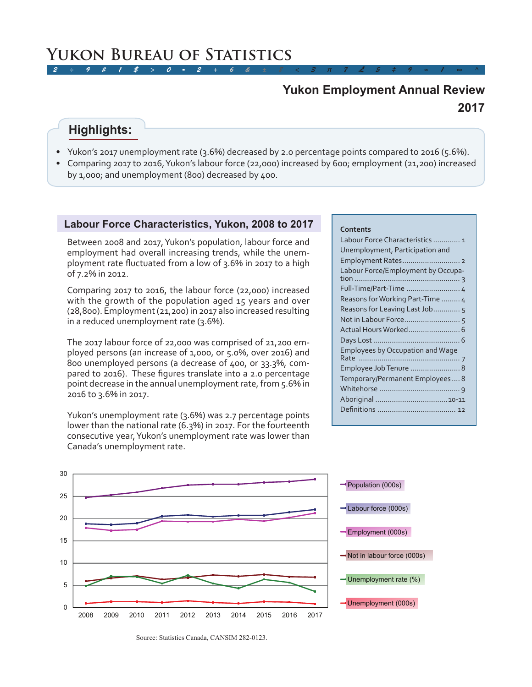# **2017 Yukon Employment Annual Review**

# **Highlights:**

- Yukon's 2017 unemployment rate (3.6%) decreased by 2.0 percentage points compared to 2016 (5.6%).
- Comparing 2017 to 2016, Yukon's labour force (22,000) increased by 600; employment (21,200) increased by 1,000; and unemployment (800) decreased by 400.

### **Labour Force Characteristics, Yukon, 2008 to 2017**

Between 2008 and 2017, Yukon's population, labour force and employment had overall increasing trends, while the unemployment rate fluctuated from a low of 3.6% in 2017 to a high of 7.2% in 2012.

Comparing 2017 to 2016, the labour force (22,000) increased with the growth of the population aged 15 years and over (28,800). Employment (21,200) in 2017 also increased resulting in a reduced unemployment rate (3.6%).

The 2017 labour force of 22,000 was comprised of 21,200 employed persons (an increase of 1,000, or 5.0%, over 2016) and 800 unemployed persons (a decrease of 400, or 33.3%, compared to 2016). These figures translate into a 2.0 percentage point decrease in the annual unemployment rate, from 5.6% in 2016 to 3.6% in 2017.

Yukon's unemployment rate (3.6%) was 2.7 percentage points lower than the national rate (6.3%) in 2017. For the fourteenth consecutive year, Yukon's unemployment rate was lower than Canada's unemployment rate.

### **Contents**

| Labour Force Characteristics  1         |
|-----------------------------------------|
| Unemployment, Participation and         |
|                                         |
| Labour Force/Employment by Occupa-      |
| Full-Time/Part-Time  4                  |
| Reasons for Working Part-Time  4        |
| Reasons for Leaving Last Job 5          |
|                                         |
|                                         |
|                                         |
| <b>Employees by Occupation and Wage</b> |
|                                         |
| Employee Job Tenure  8                  |
| Temporary/Permanent Employees 8         |
|                                         |
|                                         |
|                                         |
|                                         |



Source: Statistics Canada, CANSIM 282-0123.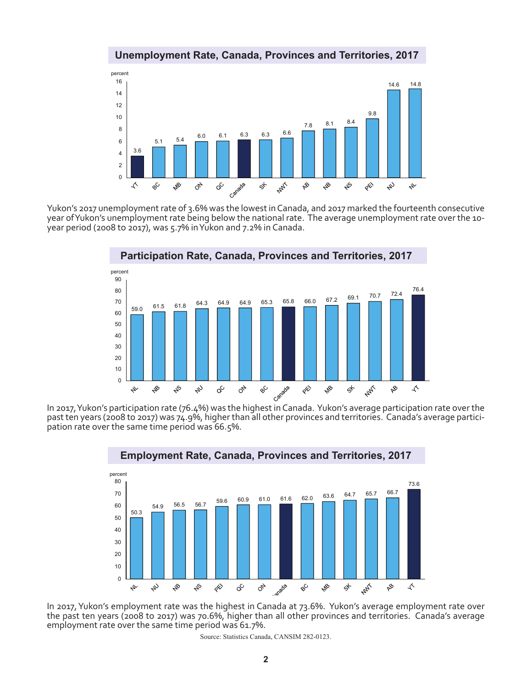



Yukon's 2017 unemployment rate of 3.6% was the lowest in Canada, and 2017 marked the fourteenth consecutive year of Yukon's unemployment rate being below the national rate. The average unemployment rate over the 10 year period (2008 to 2017), was 5.7% in Yukon and 7.2% in Canada.

![](_page_1_Figure_3.jpeg)

past ten years (2008 to 2017) was 74.9%, higher than all other provinces and territories. Canada's average participation rate over the same time period was 66.5%.

![](_page_1_Figure_5.jpeg)

In 2017, Yukon's employment rate was the highest in Canada at 73.6%. Yukon's average employment rate over the past ten years (2008 to 2017) was 70.6%, higher than all other provinces and territories. Canada's average employment rate over the same time period was 61.7%.

Source: Statistics Canada, CANSIM 282-0123.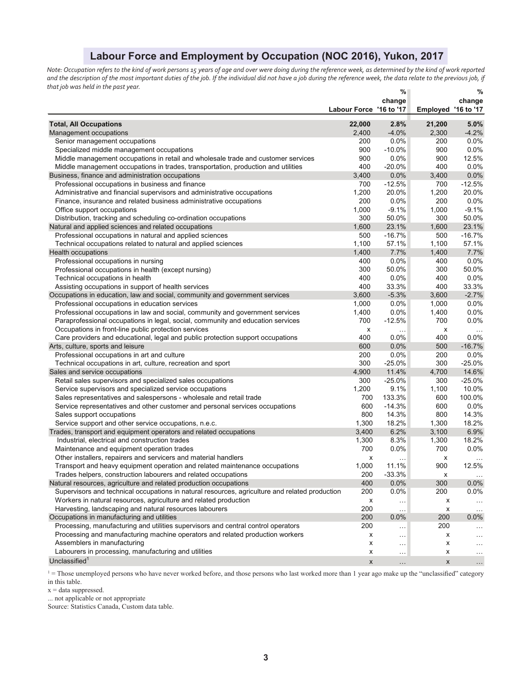## **Labour Force and Employment by Occupation (NOC 2016), Yukon, 2017**

*Note: Occupation refers to the kind of work persons 15 years of age and over were doing during the reference week, as determined by the kind of work reported*  and the description of the most important duties of the job. If the individual did not have a job during the reference week, the data relate to the previous job, if *that job was held in the past year.* **% %** 

|                                                                                                |                         | %<br>change |                     | %<br>change |
|------------------------------------------------------------------------------------------------|-------------------------|-------------|---------------------|-------------|
|                                                                                                | Labour Force '16 to '17 |             | Employed '16 to '17 |             |
| <b>Total, All Occupations</b>                                                                  | 22,000                  | 2.8%        | 21,200              | 5.0%        |
| Management occupations                                                                         | 2,400                   | $-4.0%$     | 2,300               | $-4.2%$     |
| Senior management occupations                                                                  | 200                     | 0.0%        | 200                 | 0.0%        |
| Specialized middle management occupations                                                      | 900                     | $-10.0\%$   | 900                 | $0.0\%$     |
| Middle management occupations in retail and wholesale trade and customer services              | 900                     | 0.0%        | 900                 | 12.5%       |
| Middle management occupations in trades, transportation, production and utilities              | 400                     | $-20.0%$    | 400                 | 0.0%        |
| Business, finance and administration occupations                                               | 3,400                   | 0.0%        | 3,400               | 0.0%        |
| Professional occupations in business and finance                                               | 700                     | $-12.5%$    | 700                 | $-12.5%$    |
| Administrative and financial supervisors and administrative occupations                        | 1,200                   | 20.0%       | 1,200               | 20.0%       |
| Finance, insurance and related business administrative occupations                             | 200                     | 0.0%        | 200                 | 0.0%        |
| Office support occupations                                                                     | 1,000                   | $-9.1%$     | 1,000               | $-9.1%$     |
| Distribution, tracking and scheduling co-ordination occupations                                | 300                     | 50.0%       | 300                 | 50.0%       |
| Natural and applied sciences and related occupations                                           | 1,600                   | 23.1%       | 1,600               | 23.1%       |
| Professional occupations in natural and applied sciences                                       | 500                     | $-16.7%$    | 500                 | $-16.7%$    |
| Technical occupations related to natural and applied sciences                                  | 1,100                   | 57.1%       | 1,100               | 57.1%       |
| Health occupations                                                                             | 1,400                   | 7.7%        | 1,400               | 7.7%        |
| Professional occupations in nursing                                                            | 400                     | 0.0%        | 400                 | 0.0%        |
| Professional occupations in health (except nursing)                                            | 300                     | 50.0%       | 300                 | 50.0%       |
| Technical occupations in health                                                                | 400                     | 0.0%        | 400                 | 0.0%        |
| Assisting occupations in support of health services                                            | 400                     | 33.3%       | 400                 | 33.3%       |
| Occupations in education, law and social, community and government services                    | 3,600                   | $-5.3%$     | 3,600               | $-2.7%$     |
| Professional occupations in education services                                                 | 1,000                   | 0.0%        | 1,000               | 0.0%        |
| Professional occupations in law and social, community and government services                  | 1,400                   | 0.0%        | 1,400               | 0.0%        |
| Paraprofessional occupations in legal, social, community and education services                | 700                     | $-12.5%$    | 700                 | 0.0%        |
| Occupations in front-line public protection services                                           | x                       | $\cdots$    | x                   | $\ddotsc$   |
| Care providers and educational, legal and public protection support occupations                | 400                     | 0.0%        | 400                 | 0.0%        |
| Arts, culture, sports and leisure                                                              | 600                     | 0.0%        | 500                 | $-16.7%$    |
| Professional occupations in art and culture                                                    | 200                     | 0.0%        | 200                 | 0.0%        |
| Technical occupations in art, culture, recreation and sport                                    | 300                     | $-25.0%$    | 300                 | $-25.0%$    |
| Sales and service occupations                                                                  | 4,900                   | 11.4%       | 4,700               | 14.6%       |
| Retail sales supervisors and specialized sales occupations                                     | 300                     | $-25.0%$    | 300                 | $-25.0%$    |
| Service supervisors and specialized service occupations                                        | 1,200                   | 9.1%        | 1,100               | 10.0%       |
| Sales representatives and salespersons - wholesale and retail trade                            | 700                     | 133.3%      | 600                 | 100.0%      |
| Service representatives and other customer and personal services occupations                   | 600                     | $-14.3%$    | 600                 | 0.0%        |
| Sales support occupations                                                                      | 800                     | 14.3%       | 800                 | 14.3%       |
| Service support and other service occupations, n.e.c.                                          | 1,300                   | 18.2%       | 1,300               | 18.2%       |
| Trades, transport and equipment operators and related occupations                              | 3,400                   | 6.2%        | 3,100               | 6.9%        |
| Industrial, electrical and construction trades                                                 | 1,300                   | 8.3%        | 1,300               | 18.2%       |
| Maintenance and equipment operation trades                                                     | 700                     | 0.0%        | 700                 | 0.0%        |
| Other installers, repairers and servicers and material handlers                                | х                       | .           | х                   |             |
| Transport and heavy equipment operation and related maintenance occupations                    | 1,000                   | 11.1%       | 900                 | 12.5%       |
| Trades helpers, construction labourers and related occupations                                 | 200                     | $-33.3%$    | x                   | $\ddotsc$   |
| Natural resources, agriculture and related production occupations                              | 400                     | 0.0%        | 300                 | 0.0%        |
| Supervisors and technical occupations in natural resources, agriculture and related production | 200                     | 0.0%        | 200                 | 0.0%        |
| Workers in natural resources, agriculture and related production                               | х                       | $\cdots$    | x                   | $\ldots$    |
| Harvesting, landscaping and natural resources labourers                                        | 200                     | $\sim$ .    | x                   | $\cdots$    |
| Occupations in manufacturing and utilities                                                     | 200                     | $0.0\%$     | 200                 | $0.0\%$     |
| Processing, manufacturing and utilities supervisors and central control operators              | 200                     | $\sim$      | 200                 | $\cdots$    |
| Processing and manufacturing machine operators and related production workers                  | х                       | $\ldots$    | x                   | $\cdots$    |
| Assemblers in manufacturing                                                                    | х                       | $\sim$      | x                   | $\ddotsc$   |
| Labourers in processing, manufacturing and utilities                                           | х                       | $\cdots$    | х                   | $\ddotsc$   |
| Unclassified <sup>1</sup>                                                                      | X                       | $\ldots$    | X                   | $\ldots$    |

 $1 =$  Those unemployed persons who have never worked before, and those persons who last worked more than 1 year ago make up the "unclassified" category in this table.

 $x = data$  suppressed.

... not applicable or not appropriate

Source: Statistics Canada, Custom data table.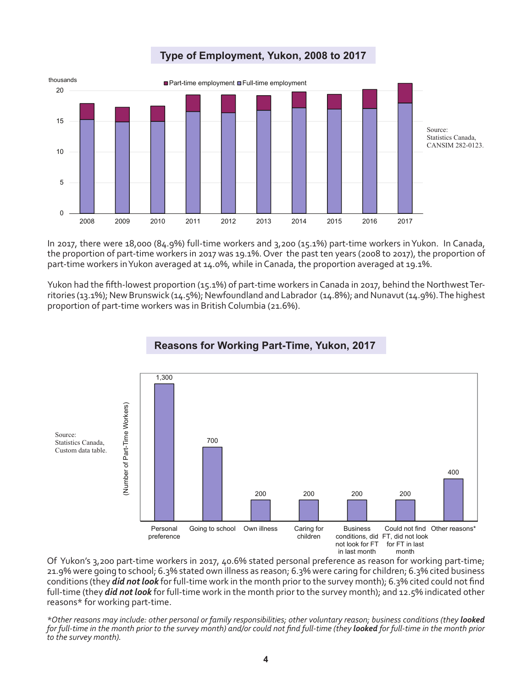![](_page_3_Figure_0.jpeg)

**Type of Employment, Yukon, 2008 to 2017**

In 2017, there were 18,000 (84.9%) full-time workers and 3,200 (15.1%) part-time workers in Yukon. In Canada, the proportion of part-time workers in 2017 was 19.1%. Over the past ten years (2008 to 2017), the proportion of part-time workers in Yukon averaged at 14.0%, while in Canada, the proportion averaged at 19.1%.

Yukon had the fifth-lowest proportion (15.1%) of part-time workers in Canada in 2017, behind the Northwest Territories (13.1%); New Brunswick (14.5%); Newfoundland and Labrador (14.8%); and Nunavut (14.9%). The highest proportion of part-time workers was in British Columbia (21.6%).

![](_page_3_Figure_4.jpeg)

# **Reasons for Working Part-Time, Yukon, 2017**

Of Yukon's 3,200 part-time workers in 2017, 40.6% stated personal preference as reason for working part-time; 21.9% were going to school; 6.3% stated own illness as reason; 6.3% were caring for children; 6.3% cited business conditions (they *did not look* for full-time work in the month prior to the survey month); 6.3% cited could not find full-time (they *did not look* for full-time work in the month prior to the survey month); and 12.5% indicated other reasons\* for working part-time.

*\*Other reasons may include: other personal or family responsibilities; other voluntary reason; business conditions (they looked for full-time in the month prior to the survey month) and/or could not find full-time (they looked for full-time in the month prior to the survey month).*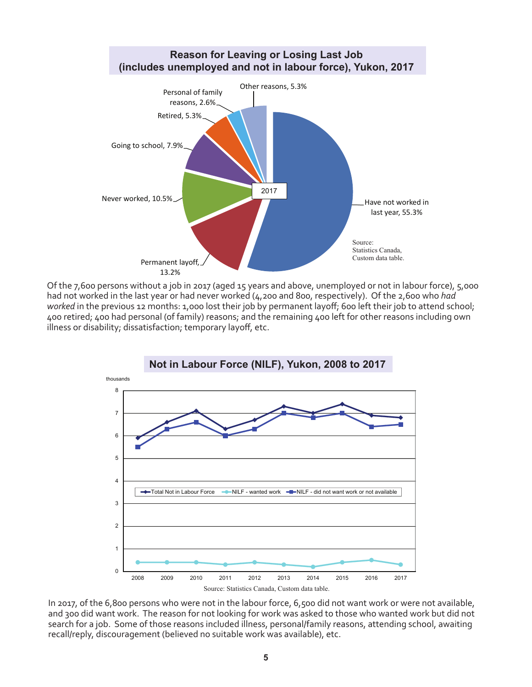![](_page_4_Figure_0.jpeg)

Of the 7,600 persons without a job in 2017 (aged 15 years and above, unemployed or not in labour force), 5,000 had not worked in the last year or had never worked (4,200 and 800, respectively). Of the 2,600 who *had worked* in the previous 12 months: 1,000 lost their job by permanent layoff; 600 left their job to attend school; 400 retired; 400 had personal (of family) reasons; and the remaining 400 left for other reasons including own illness or disability; dissatisfaction; temporary layoff, etc.

![](_page_4_Figure_2.jpeg)

In 2017, of the 6,800 persons who were not in the labour force, 6,500 did not want work or were not available, and 300 did want work. The reason for not looking for work was asked to those who wanted work but did not search for a job. Some of those reasons included illness, personal/family reasons, attending school, awaiting recall/reply, discouragement (believed no suitable work was available), etc.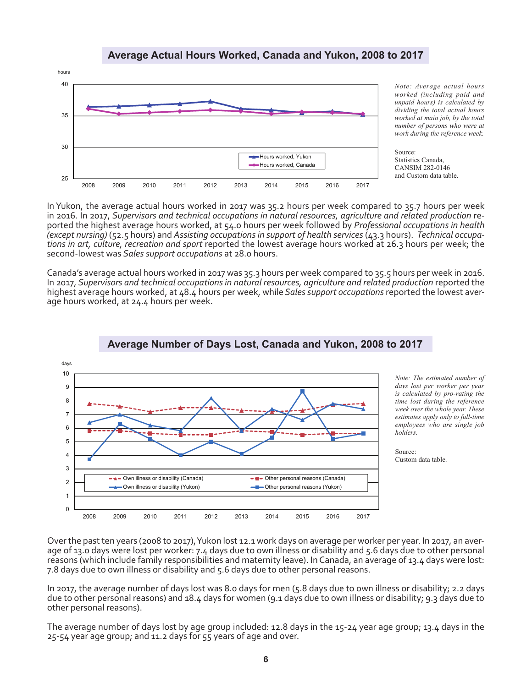### **Average Actual Hours Worked, Canada and Yukon, 2008 to 2017**

![](_page_5_Figure_1.jpeg)

*Note: Average actual hours worked (including paid and unpaid hours) is calculated by dividing the total actual hours worked at main job, by the total number of persons who were at work during the reference week.*

Source: Statistics Canada, CANSIM 282-0146 and Custom data table.

In Yukon, the average actual hours worked in 2017 was 35.2 hours per week compared to 35.7 hours per week in 2016. In 2017, *Supervisors and technical occupations in natural resources, agriculture and related production* reported the highest average hours worked, at 54.0 hours per week followed by *Professional occupations in health (except nursing)* (52.5 hours) and *Assisting occupations in support of health services* (43.3 hours). *Technical occupations in art, culture, recreation and sport* reported the lowest average hours worked at 26.3 hours per week; the second-lowest was *Sales support occupations* at 28.0 hours.

Canada's average actual hours worked in 2017 was 35.3 hours per week compared to 35.5 hours per week in 2016. In 2017, *Supervisors and technical occupations in natural resources, agriculture and related production* reported the highest average hours worked, at 48.4 hours per week, while *Sales support occupations* reported the lowest average hours worked, at 24.4 hours per week.

![](_page_5_Figure_6.jpeg)

### **Average Number of Days Lost, Canada and Yukon, 2008 to 2017**

*Note: The estimated number of days lost per worker per year is calculated by pro-rating the time lost during the reference week over the whole year. These estimates apply only to full-time employees who are single job holders.*

Source: Custom data table.

Over the past ten years (2008 to 2017), Yukon lost 12.1 work days on average per worker per year. In 2017, an aver-<br>age of 13.0 days were lost per worker: 7.4 days due to own illness or disability and 5.6 days due to other reasons (which include family responsibilities and maternity leave). In Canada, an average of 13.4 days were lost: 7.8 days due to own illness or disability and 5.6 days due to other personal reasons.

In 2017, the average number of days lost was 8.0 days for men (5.8 days due to own illness or disability; 2.2 days due to other personal reasons) and 18.4 days for women (9.1 days due to own illness or disability; 9.3 days due to other personal reasons).

The average number of days lost by age group included: 12.8 days in the 15-24 year age group; 13.4 days in the 25-54 year age group; and 11.2 days for 55 years of age and over.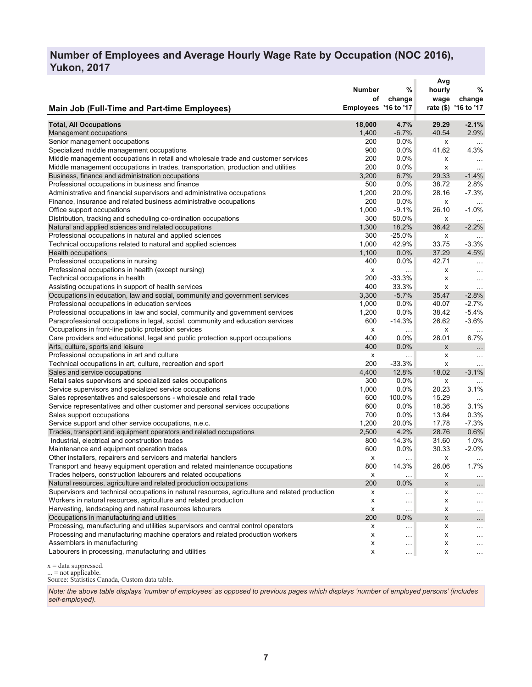### **Number of Employees and Average Hourly Wage Rate by Occupation (NOC 2016), Yukon, 2017**

|                                                                                                                                 | <b>Number</b><br>οf  | %<br>change   | Avg<br>hourly<br>wage | %<br>change          |
|---------------------------------------------------------------------------------------------------------------------------------|----------------------|---------------|-----------------------|----------------------|
| <b>Main Job (Full-Time and Part-time Employees)</b>                                                                             | Employees '16 to '17 |               |                       | rate (\$) '16 to '17 |
| <b>Total, All Occupations</b>                                                                                                   | 18,000               | 4.7%          | 29.29                 | $-2.1%$              |
| Management occupations                                                                                                          | 1,400                | $-6.7%$       | 40.54                 | 2.9%                 |
| Senior management occupations                                                                                                   | 200                  | 0.0%          | x                     | $\sim$ .             |
| Specialized middle management occupations                                                                                       | 900                  | 0.0%          | 41.62                 | 4.3%                 |
| Middle management occupations in retail and wholesale trade and customer services                                               | 200                  | 0.0%          | x                     | $\sim$ .             |
| Middle management occupations in trades, transportation, production and utilities                                               | 200                  | 0.0%          | x                     |                      |
| Business, finance and administration occupations                                                                                | 3,200                | 6.7%          | 29.33                 | $-1.4%$              |
| Professional occupations in business and finance                                                                                | 500                  | 0.0%          | 38.72                 | 2.8%                 |
| Administrative and financial supervisors and administrative occupations                                                         | 1,200                | 20.0%         | 28.16                 | $-7.3%$              |
| Finance, insurance and related business administrative occupations                                                              | 200                  | 0.0%          | x                     |                      |
| Office support occupations                                                                                                      | 1,000                | $-9.1%$       | 26.10                 | $-1.0%$              |
| Distribution, tracking and scheduling co-ordination occupations                                                                 | 300                  | 50.0%         | x                     |                      |
| Natural and applied sciences and related occupations                                                                            | 1,300                | 18.2%         | 36.42                 | $-2.2%$              |
| Professional occupations in natural and applied sciences                                                                        | 300                  | $-25.0%$      | x                     |                      |
| Technical occupations related to natural and applied sciences                                                                   | 1,000                | 42.9%         | 33.75                 | $-3.3%$              |
| Health occupations                                                                                                              | 1,100                | 0.0%          | 37.29                 | 4.5%                 |
| Professional occupations in nursing                                                                                             | 400                  | 0.0%          | 42.71                 |                      |
| Professional occupations in health (except nursing)                                                                             | X                    | $\ldots$      | x                     | $\ddotsc$            |
| Technical occupations in health                                                                                                 | 200                  | $-33.3%$      | x                     | $\ddotsc$            |
| Assisting occupations in support of health services                                                                             | 400                  | 33.3%         | x                     | $\ddotsc$            |
| Occupations in education, law and social, community and government services                                                     | 3,300                | $-5.7%$       | 35.47                 | $-2.8%$              |
| Professional occupations in education services                                                                                  | 1,000                | 0.0%          | 40.07                 | $-2.7%$              |
| Professional occupations in law and social, community and government services                                                   | 1,200                | $0.0\%$       | 38.42                 | $-5.4%$              |
| Paraprofessional occupations in legal, social, community and education services                                                 | 600                  | $-14.3%$      | 26.62                 | $-3.6%$              |
| Occupations in front-line public protection services                                                                            | X                    | $\sim$ $\sim$ | x                     | $\sim$ $\sim$        |
| Care providers and educational, legal and public protection support occupations                                                 | 400                  | 0.0%          | 28.01                 | 6.7%                 |
| Arts, culture, sports and leisure                                                                                               | 400                  | 0.0%          | X                     | $\ddotsc$            |
| Professional occupations in art and culture                                                                                     | X                    |               | x                     | $\cdots$             |
| Technical occupations in art, culture, recreation and sport                                                                     | 200                  | $-33.3%$      | x                     | $\ldots$             |
| Sales and service occupations                                                                                                   | 4,400                | 12.8%         | 18.02                 | $-3.1%$              |
| Retail sales supervisors and specialized sales occupations                                                                      | 300                  | 0.0%          | x                     |                      |
| Service supervisors and specialized service occupations                                                                         | 1,000                | 0.0%          | 20.23                 | 3.1%                 |
| Sales representatives and salespersons - wholesale and retail trade                                                             | 600                  | 100.0%        | 15.29                 | $\sim$ $\sim$ $\sim$ |
| Service representatives and other customer and personal services occupations                                                    | 600                  | 0.0%          | 18.36                 | 3.1%                 |
| Sales support occupations                                                                                                       | 700                  | 0.0%          | 13.64                 | 0.3%                 |
| Service support and other service occupations, n.e.c.                                                                           | 1,200                | 20.0%         | 17.78                 | $-7.3%$              |
| Trades, transport and equipment operators and related occupations                                                               | 2,500                | 4.2%          | 28.76                 | 0.6%                 |
| Industrial, electrical and construction trades                                                                                  | 800                  | 14.3%         | 31.60                 | 1.0%                 |
| Maintenance and equipment operation trades                                                                                      | 600                  | 0.0%          | 30.33                 | $-2.0%$              |
| Other installers, repairers and servicers and material handlers                                                                 | х                    | $\sim$ $\sim$ | x                     | $\ldots$             |
| Transport and heavy equipment operation and related maintenance occupations                                                     | 800                  | 14.3%         | 26.06                 | 1.7%                 |
| Trades helpers, construction labourers and related occupations                                                                  | х                    | $\ldots$      | х                     | $\ldots$             |
| Natural resources, agriculture and related production occupations                                                               | 200                  | 0.0%          | X                     | $\ddotsc$            |
| Supervisors and technical occupations in natural resources, agriculture and related production                                  | х                    | $\ldots$      | x                     | $\cdots$             |
| Workers in natural resources, agriculture and related production                                                                | х                    | $\ldots$      | x                     |                      |
| Harvesting, landscaping and natural resources labourers                                                                         | х                    | $\ldots$      | x                     | $\ddotsc$            |
| Occupations in manufacturing and utilities<br>Processing, manufacturing and utilities supervisors and central control operators | 200                  | 0.0%          | X                     | $\cdots$             |
|                                                                                                                                 | х                    | $\ddotsc$     | x                     | $\cdots$             |
| Processing and manufacturing machine operators and related production workers<br>Assemblers in manufacturing                    | х                    | $\cdots$      | x                     | $\cdots$             |
| Labourers in processing, manufacturing and utilities                                                                            | х<br>X               | $\ldots$      | x                     | .                    |
|                                                                                                                                 |                      | $\cdots$      | x                     | $\sim$ $\sim$        |

 $x = data$  suppressed.

... = not applicable.

Source: Statistics Canada, Custom data table.

*Note: the above table displays 'number of employees' as opposed to previous pages which displays 'number of employed persons' (includes self-employed).*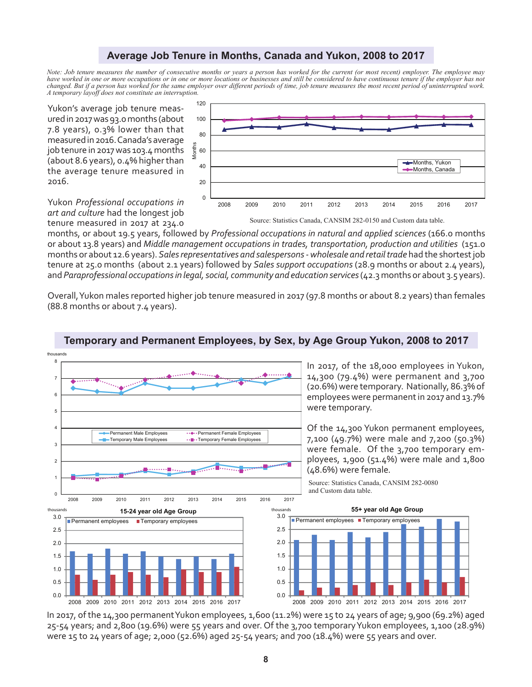### **Average Job Tenure in Months, Canada and Yukon, 2008 to 2017**

*Note: Job tenure measures the number of consecutive months or years a person has worked for the current (or most recent) employer. The employee may have worked in one or more occupations or in one or more locations or businesses and still be considered to have continuous tenure if the employer has not changed. But if a person has worked for the same employer over different periods of time, job tenure measures the most recent period of uninterrupted work. A temporary layoff does not constitute an interruption.*

Yukon's average job tenure measured in 2017 was 93.0 months (about 7.8 years), 0.3% lower than that measured in 2016. Canada's average job tenure in 2017 was 103.4 months (about 8.6 years), 0.4% higher than the average tenure measured in 2016.

![](_page_7_Figure_3.jpeg)

Yukon *Professional occupations in art and culture* had the longest job tenure measured in 2017 at 234.0

months, or about 19.5 years, followed by *Professional occupations in natural and applied sciences* (166.0 months or about 13.8 years) and *Middle management occupations in trades, transportation, production and utilities* (151.0 months or about 12.6 years). *Sales representatives and salespersons - wholesale and retail trade* had the shortest job tenure at 25.0 months (about 2.1 years) followed by *Sales support occupations* (28.9 months or about 2.4 years), and *Paraprofessional occupations in legal, social, community and education services* (42.3 months or about 3.5 years).

Overall, Yukon males reported higher job tenure measured in 2017 (97.8 months or about 8.2 years) than females (88.8 months or about 7.4 years).

![](_page_7_Figure_7.jpeg)

### **Temporary and Permanent Employees, by Sex, by Age Group Yukon, 2008 to 2017**

In 2017, of the 14,300 permanent Yukon employees, 1,600 (11.2%) were 15 to 24 years of age; 9,900 (69.2%) aged 25-54 years; and 2,800 (19.6%) were 55 years and over. Of the 3,700 temporary Yukon employees, 1,100 (28.9%) were 15 to 24 years of age; 2,000 (52.6%) aged 25-54 years; and 700 (18.4%) were 55 years and over.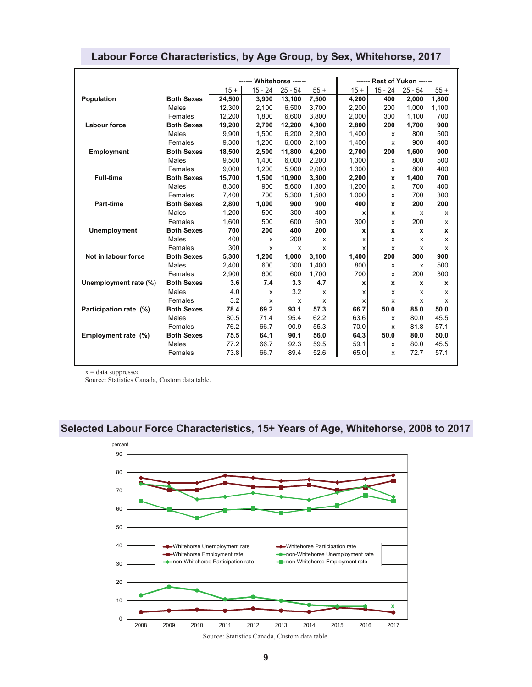|                        |                   | ------ Whitehorse ------ |                           |           |              | ------ Rest of Yukon ------ |              |                  |       |
|------------------------|-------------------|--------------------------|---------------------------|-----------|--------------|-----------------------------|--------------|------------------|-------|
|                        |                   | $15 +$                   | $15 - 24$                 | $25 - 54$ | $55+$        | $15 +$                      | $15 - 24$    | $25 - 54$        | $55+$ |
| Population             | <b>Both Sexes</b> | 24,500                   | 3,900                     | 13,100    | 7,500        | 4,200                       | 400          | 2,000            | 1,800 |
|                        | Males             | 12,300                   | 2,100                     | 6,500     | 3,700        | 2,200                       | 200          | 1,000            | 1,100 |
|                        | Females           | 12,200                   | 1,800                     | 6,600     | 3,800        | 2.000                       | 300          | 1,100            | 700   |
| <b>Labour force</b>    | <b>Both Sexes</b> | 19,200                   | 2,700                     | 12,200    | 4,300        | 2,800                       | 200          | 1,700            | 900   |
|                        | Males             | 9.900                    | 1,500                     | 6,200     | 2,300        | 1.400                       | X            | 800              | 500   |
|                        | Females           | 9,300                    | 1,200                     | 6.000     | 2,100        | 1,400                       | x            | 900              | 400   |
| <b>Employment</b>      | <b>Both Sexes</b> | 18,500                   | 2,500                     | 11,800    | 4,200        | 2,700                       | 200          | 1,600            | 900   |
|                        | Males             | 9,500                    | 1,400                     | 6,000     | 2,200        | 1,300                       | x            | 800              | 500   |
|                        | Females           | 9,000                    | 1,200                     | 5,900     | 2,000        | 1,300                       | x            | 800              | 400   |
| <b>Full-time</b>       | <b>Both Sexes</b> | 15,700                   | 1,500                     | 10,900    | 3,300        | 2,200                       | $\mathbf{x}$ | 1.400            | 700   |
|                        | Males             | 8,300                    | 900                       | 5,600     | 1,800        | 1,200                       | X            | 700              | 400   |
|                        | Females           | 7,400                    | 700                       | 5,300     | 1,500        | 1,000                       | X            | 700              | 300   |
| <b>Part-time</b>       | <b>Both Sexes</b> | 2,800                    | 1,000                     | 900       | 900          | 400                         | x            | 200              | 200   |
|                        | Males             | 1,200                    | 500                       | 300       | 400          | х                           | x            | X                | x     |
|                        | Females           | 1,600                    | 500                       | 600       | 500          | 300                         | X            | 200              | x     |
| <b>Unemployment</b>    | <b>Both Sexes</b> | 700                      | 200                       | 400       | 200          | x                           | $\mathbf{x}$ | $\boldsymbol{x}$ | x     |
|                        | Males             | 400                      | $\boldsymbol{\mathsf{x}}$ | 200       | x            | x                           | x            | x                | x     |
|                        | Females           | 300                      | $\boldsymbol{\mathsf{x}}$ | X         | x            | x                           | X            | x                | x     |
| Not in labour force    | <b>Both Sexes</b> | 5,300                    | 1,200                     | 1,000     | 3,100        | 1,400                       | 200          | 300              | 900   |
|                        | Males             | 2,400                    | 600                       | 300       | 1,400        | 800                         | x            | x                | 500   |
|                        | Females           | 2.900                    | 600                       | 600       | 1.700        | 700                         | X            | 200              | 300   |
| Unemployment rate (%)  | <b>Both Sexes</b> | 3.6                      | 7.4                       | 3.3       | 4.7          | x                           | $\mathbf{x}$ | $\boldsymbol{x}$ | x     |
|                        | Males             | 4.0                      | $\boldsymbol{\mathsf{x}}$ | 3.2       | $\mathsf{x}$ | x                           | x            | x                | x     |
|                        | Females           | 3.2                      | $\boldsymbol{\mathsf{x}}$ | x         | x            | x                           | x            | x                | x     |
| Participation rate (%) | <b>Both Sexes</b> | 78.4                     | 69.2                      | 93.1      | 57.3         | 66.7                        | 50.0         | 85.0             | 50.0  |
|                        | Males             | 80.5                     | 71.4                      | 95.4      | 62.2         | 63.6                        | X            | 80.0             | 45.5  |
|                        | Females           | 76.2                     | 66.7                      | 90.9      | 55.3         | 70.0                        | x            | 81.8             | 57.1  |
| Employment rate (%)    | <b>Both Sexes</b> | 75.5                     | 64.1                      | 90.1      | 56.0         | 64.3                        | 50.0         | 80.0             | 50.0  |
|                        | Males             | 77.2                     | 66.7                      | 92.3      | 59.5         | 59.1                        | X            | 80.0             | 45.5  |
|                        | Females           | 73.8                     | 66.7                      | 89.4      | 52.6         | 65.0                        | x            | 72.7             | 57.1  |

## **Labour Force Characteristics, by Age Group, by Sex, Whitehorse, 2017**

 $\mathbf{x} = \text{data}$  suppressed

Source: Statistics Canada, Custom data table.

## **Selected Labour Force Characteristics, 15+ Years of Age, Whitehorse, 2008 to 2017**

![](_page_8_Figure_5.jpeg)

Source: Statistics Canada, Custom data table.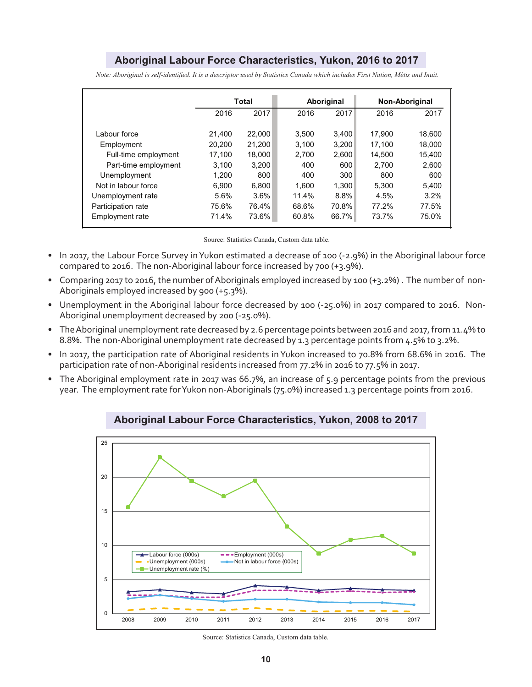### **Aboriginal Labour Force Characteristics, Yukon, 2016 to 2017**

|                      | Total  |        |       | Aboriginal | Non-Aboriginal |         |
|----------------------|--------|--------|-------|------------|----------------|---------|
|                      | 2016   | 2017   | 2016  | 2017       | 2016           | 2017    |
|                      |        |        |       |            |                |         |
| Labour force         | 21.400 | 22,000 | 3.500 | 3.400      | 17.900         | 18.600  |
| Employment           | 20.200 | 21,200 | 3.100 | 3,200      | 17.100         | 18.000  |
| Full-time employment | 17,100 | 18.000 | 2.700 | 2.600      | 14.500         | 15.400  |
| Part-time employment | 3.100  | 3.200  | 400   | 600        | 2.700          | 2,600   |
| Unemployment         | 1.200  | 800    | 400   | 300        | 800            | 600     |
| Not in labour force  | 6.900  | 6.800  | 1.600 | 1.300      | 5.300          | 5.400   |
| Unemployment rate    | 5.6%   | 3.6%   | 11.4% | 8.8%       | 4.5%           | $3.2\%$ |
| Participation rate   | 75.6%  | 76.4%  | 68.6% | 70.8%      | 77.2%          | 77.5%   |
| Employment rate      | 71.4%  | 73.6%  | 60.8% | 66.7%      | 73.7%          | 75.0%   |

*Note: Aboriginal is self-identified. It is a descriptor used by Statistics Canada which includes First Nation, Métis and Inuit.*

Source: Statistics Canada, Custom data table.

- In 2017, the Labour Force Survey in Yukon estimated a decrease of 100 (-2.9%) in the Aboriginal labour force compared to 2016. The non-Aboriginal labour force increased by 700 (+3.9%).
- Comparing 2017 to 2016, the number of Aboriginals employed increased by 100 (+3.2%) . The number of non-Aboriginals employed increased by 900 (+5.3%).
- Unemployment in the Aboriginal labour force decreased by 100 (-25.0%) in 2017 compared to 2016. Non-Aboriginal unemployment decreased by 200 (-25.0%).
- The Aboriginal unemployment rate decreased by 2.6 percentage points between 2016 and 2017, from 11.4% to 8.8%. The non-Aboriginal unemployment rate decreased by 1.3 percentage points from 4.5% to 3.2%.
- In 2017, the participation rate of Aboriginal residents in Yukon increased to 70.8% from 68.6% in 2016. The participation rate of non-Aboriginal residents increased from 77.2% in 2016 to 77.5% in 2017.
- The Aboriginal employment rate in 2017 was 66.7%, an increase of 5.9 percentage points from the previous year. The employment rate for Yukon non-Aboriginals (75.0%) increased 1.3 percentage points from 2016.

![](_page_9_Figure_10.jpeg)

**Aboriginal Labour Force Characteristics, Yukon, 2008 to 2017**

Source: Statistics Canada, Custom data table.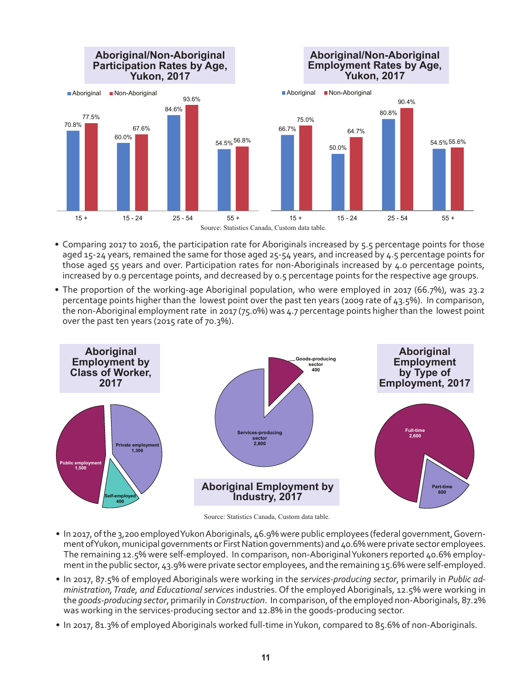![](_page_10_Figure_0.jpeg)

- Comparing 2017 to 2016, the participation rate for Aboriginals increased by 5.5 percentage points for those aged 15-24 years, remained the same for those aged 25-54 years, and increased by 4.5 percentage points for those aged 55 years and over. Participation rates for non-Aboriginals increased by 4.0 percentage points, increased by 0.9 percentage points, and decreased by 0.5 percentage points for the respective age groups.
- The proportion of the working-age Aboriginal population, who were employed in 2017 (66.7%), was 23.2 percentage points higher than the lowest point over the past ten years (2009 rate of 43.5%). In comparison, the non-Aboriginal employment rate in 2017 (75.0%) was 4.7 percentage points higher than the lowest point over the past ten years (2015 rate of 70.3%).

![](_page_10_Figure_3.jpeg)

Source: Statistics Canada, Custom data table.

- In 2017, of the 3,200 employed Yukon Aboriginals, 46.9% were public employees (federal government, Government of Yukon, municipal governments or First Nation governments) and 40.6% were private sector employees. The remaining 12.5% were self-employed. In comparison, non-Aboriginal Yukoners reported 40.6% employment in the public sector, 43.9% were private sector employees, and the remaining 15.6% were self-employed.
- In 2017, 87.5% of employed Aboriginals were working in the *services-producing sector*, primarily in *Public administration, Trade, and Educational services* industries. Of the employed Aboriginals, 12.5% were working in the *goods-producing sector*, primarily in *Construction*. In comparison, of the employed non-Aboriginals, 87.2% was working in the services-producing sector and 12.8% in the goods-producing sector.
- In 2017, 81.3% of employed Aboriginals worked full-time in Yukon, compared to 85.6% of non-Aboriginals.